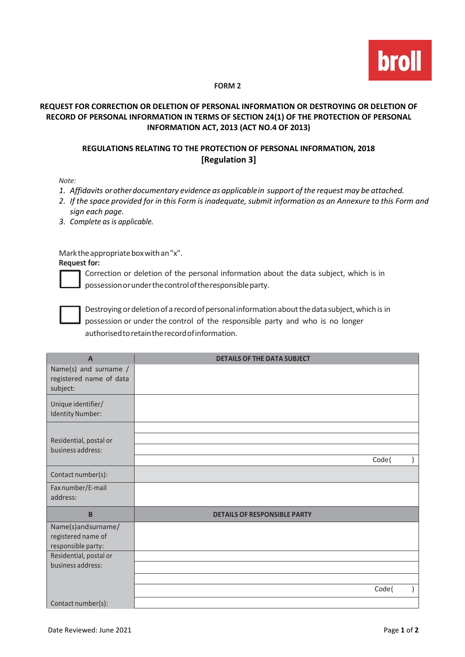

## **FORM 2**

## **REQUEST FOR CORRECTION OR DELETION OF PERSONAL INFORMATION OR DESTROYING OR DELETION OF RECORD OF PERSONAL INFORMATION IN TERMS OF SECTION 24(1) OF THE PROTECTION OF PERSONAL INFORMATION ACT, 2013 (ACT NO.4 OF 2013)**

## **REGULATIONS RELATING TO THE PROTECTION OF PERSONAL INFORMATION, 2018 [Regulation 3]**

*Note:*

- *1. Affidavits orotherdocumentary evidence as applicablein support of the request may be attached.*
- 2. If the space provided for in this Form is inadequate, submit information as an Annexure to this Form and *sign each page.*
- *3. Complete as is applicable.*

Marktheappropriateboxwithan"x".

**Request for:**



Correction or deletion of the personal information about the data subject, which is in possessionorunderthecontroloftheresponsibleparty.



Destroying or deletion of a record of personal information about the data subject, which is in possession or under the control of the responsible party and who is no longer authorisedtoretaintherecordofinformation.

| $\mathsf{A}$                                                   | <b>DETAILS OF THE DATA SUBJECT</b>  |
|----------------------------------------------------------------|-------------------------------------|
| Name(s) and surname /<br>registered name of data<br>subject:   |                                     |
| Unique identifier/<br>Identity Number:                         |                                     |
|                                                                |                                     |
| Residential, postal or                                         |                                     |
| business address:                                              | Code(                               |
|                                                                |                                     |
| Contact number(s):                                             |                                     |
| Fax number/E-mail<br>address:                                  |                                     |
| B                                                              | <b>DETAILS OF RESPONSIBLE PARTY</b> |
| Name(s)andsurname/<br>registered name of<br>responsible party: |                                     |
| Residential, postal or                                         |                                     |
| business address:                                              |                                     |
|                                                                |                                     |
|                                                                | Code(                               |
| Contact number(s):                                             |                                     |